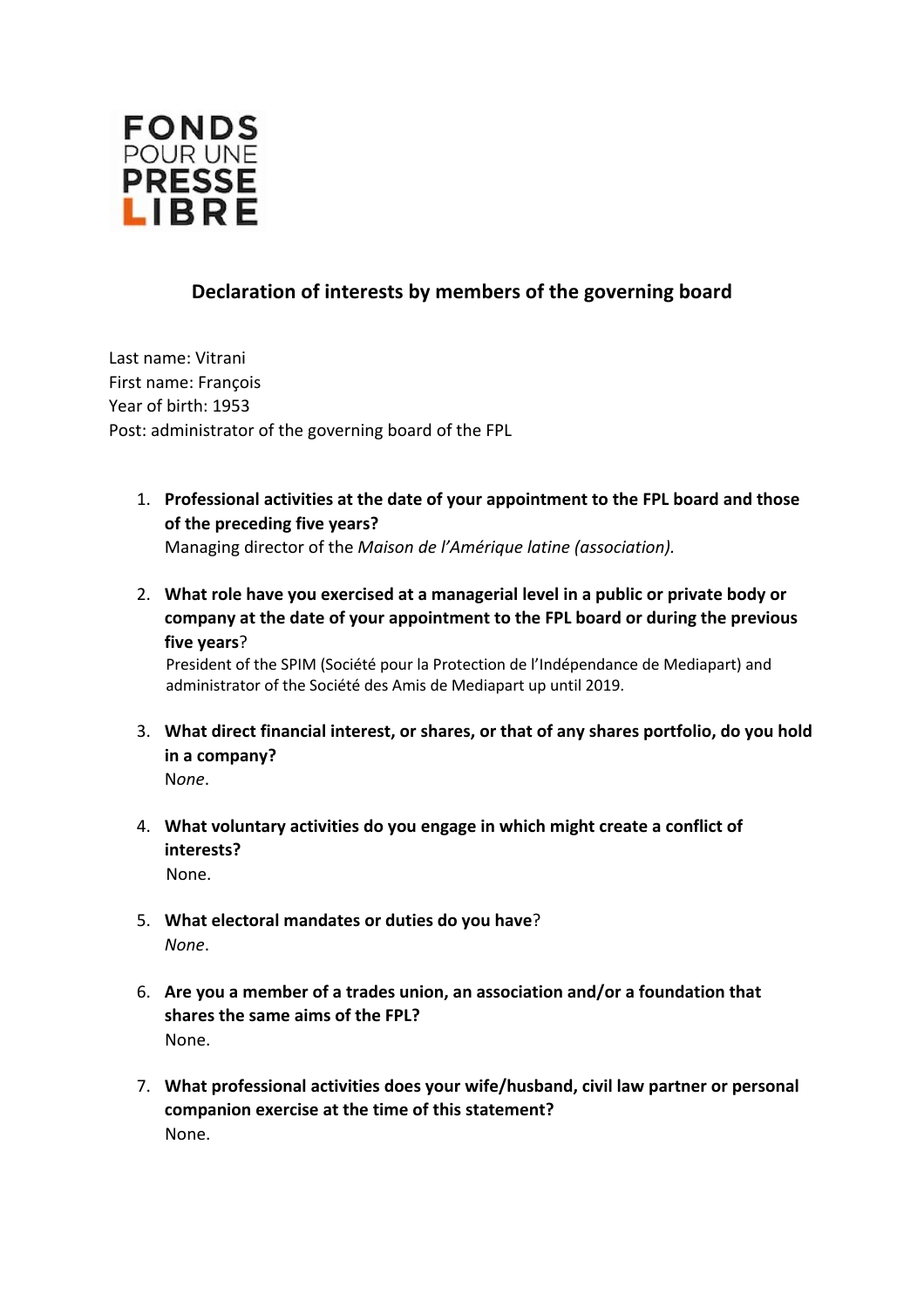

## **Declaration of interests by members of the governing board**

Last name: Vitrani First name: François Year of birth: 1953 Post: administrator of the governing board of the FPL

1. **Professional activities at the date of your appointment to the FPL board and those of the preceding five years?**

Managing director of the *Maison de l'Amérique latine (association).* 

2. **What role have you exercised at a managerial level in a public or private body or company at the date of your appointment to the FPL board or during the previous five years**?

President of the SPIM (Société pour la Protection de l'Indépendance de Mediapart) and administrator of the Société des Amis de Mediapart up until 2019.

- 3. **What direct financial interest, or shares, or that of any shares portfolio, do you hold in a company?**  N*one*.
- 4. **What voluntary activities do you engage in which might create a conflict of interests?** None.
- 5. **What electoral mandates or duties do you have**? *None*.
- 6. **Are you a member of a trades union, an association and/or a foundation that shares the same aims of the FPL?**  None.
- 7. **What professional activities does your wife/husband, civil law partner or personal companion exercise at the time of this statement?**  None.